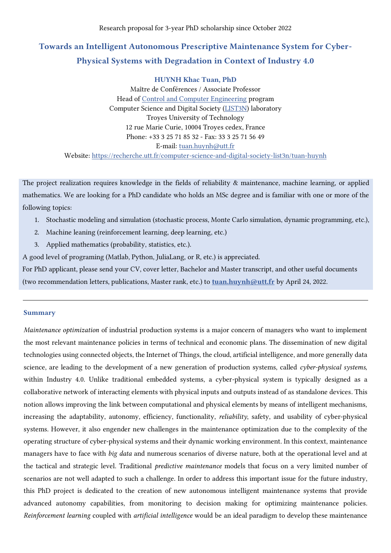# Towards an Intelligent Autonomous Prescriptive Maintenance System for Cyber-Physical Systems with Degradation in Context of Industry 4.0

# HUYNH Khac Tuan, PhD

Maître de Conférences / Associate Professor Head of [Control and Computer Engineering](https://www.utt.fr/english-version/engineering-degree/control-and-computer-engineering-aii) program Computer Science and Digital Society [\(LIST3N\)](https://recherche.utt.fr/computer-science-and-digital-society-list3n) laboratory Troyes University of Technology 12 rue Marie Curie, 10004 Troyes cedex, France Phone: +33 3 25 71 85 32 - Fax: 33 3 25 71 56 49 E-mail: [tuan.huynh@utt.fr](mailto:tuan.huynh@utt.fr)  Website:<https://recherche.utt.fr/computer-science-and-digital-society-list3n/tuan-huynh>

The project realization requires knowledge in the fields of reliability & maintenance, machine learning, or applied mathematics. We are looking for a PhD candidate who holds an MSc degree and is familiar with one or more of the following topics:

- 1. Stochastic modeling and simulation (stochastic process, Monte Carlo simulation, dynamic programming, etc.),
- 2. Machine leaning (reinforcement learning, deep learning, etc.)
- 3. Applied mathematics (probability, statistics, etc.).

A good level of programing (Matlab, Python, JuliaLang, or R, etc.) is appreciated.

For PhD applicant, please send your CV, cover letter, Bachelor and Master transcript, and other useful documents (two recommendation letters, publications, Master rank, etc.) to [tuan.huynh@utt.fr](mailto:tuan.huynh@utt.fr) by April 24, 2022.

# Summary

*Maintenance optimization* of industrial production systems is a major concern of managers who want to implement the most relevant maintenance policies in terms of technical and economic plans. The dissemination of new digital technologies using connected objects, the Internet of Things, the cloud, artificial intelligence, and more generally data science, are leading to the development of a new generation of production systems, called *cyber-physical systems*, within Industry 4.0. Unlike traditional embedded systems, a cyber-physical system is typically designed as a collaborative network of interacting elements with physical inputs and outputs instead of as standalone devices. This notion allows improving the link between computational and physical elements by means of intelligent mechanisms, increasing the adaptability, autonomy, efficiency, functionality, *reliability*, safety, and usability of cyber-physical systems. However, it also engender new challenges in the maintenance optimization due to the complexity of the operating structure of cyber-physical systems and their dynamic working environment. In this context, maintenance managers have to face with *big data* and numerous scenarios of diverse nature, both at the operational level and at the tactical and strategic level. Traditional *predictive maintenance* models that focus on a very limited number of scenarios are not well adapted to such a challenge. In order to address this important issue for the future industry, this PhD project is dedicated to the creation of new autonomous intelligent maintenance systems that provide advanced autonomy capabilities, from monitoring to decision making for optimizing maintenance policies. *Reinforcement learning* coupled with *artificial intelligence* would be an ideal paradigm to develop these maintenance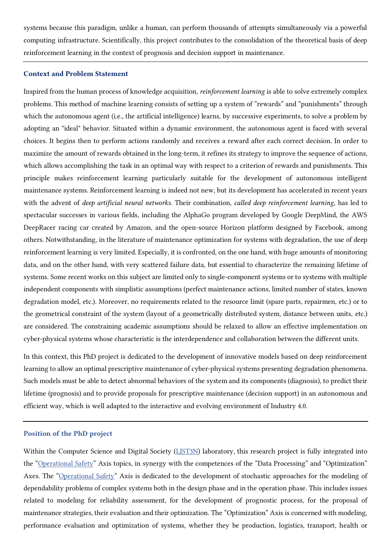systems because this paradigm, unlike a human, can perform thousands of attempts simultaneously via a powerful computing infrastructure. Scientifically, this project contributes to the consolidation of the theoretical basis of deep reinforcement learning in the context of prognosis and decision support in maintenance.

## Context and Problem Statement

Inspired from the human process of knowledge acquisition, *reinforcement learning* is able to solve extremely complex problems. This method of machine learning consists of setting up a system of "rewards" and "punishments" through which the autonomous agent (i.e., the artificial intelligence) learns, by successive experiments, to solve a problem by adopting an "ideal" behavior. Situated within a dynamic environment, the autonomous agent is faced with several choices. It begins then to perform actions randomly and receives a reward after each correct decision. In order to maximize the amount of rewards obtained in the long-term, it refines its strategy to improve the sequence of actions, which allows accomplishing the task in an optimal way with respect to a criterion of rewards and punishments. This principle makes reinforcement learning particularly suitable for the development of autonomous intelligent maintenance systems. Reinforcement learning is indeed not new, but its development has accelerated in recent years with the advent of *deep artificial neural networks*. Their combination, *called deep reinforcement learning*, has led to spectacular successes in various fields, including the AlphaGo program developed by Google DeepMind, the AWS DeepRacer racing car created by Amazon, and the open-source Horizon platform designed by Facebook, among others. Notwithstanding, in the literature of maintenance optimization for systems with degradation, the use of deep reinforcement learning is very limited. Especially, it is confronted, on the one hand, with huge amounts of monitoring data, and on the other hand, with very scattered failure data, but essential to characterize the remaining lifetime of systems. Some recent works on this subject are limited only to single-component systems or to systems with multiple independent components with simplistic assumptions (perfect maintenance actions, limited number of states, known degradation model, etc.). Moreover, no requirements related to the resource limit (spare parts, repairmen, etc.) or to the geometrical constraint of the system (layout of a geometrically distributed system, distance between units, etc.) are considered. The constraining academic assumptions should be relaxed to allow an effective implementation on cyber-physical systems whose characteristic is the interdependence and collaboration between the different units.

In this context, this PhD project is dedicated to the development of innovative models based on deep reinforcement learning to allow an optimal prescriptive maintenance of cyber-physical systems presenting degradation phenomena. Such models must be able to detect abnormal behaviors of the system and its components (diagnosis), to predict their lifetime (prognosis) and to provide proposals for prescriptive maintenance (decision support) in an autonomous and efficient way, which is well adapted to the interactive and evolving environment of Industry 4.0.

#### Position of the PhD project

Within the Computer Science and Digital Society [\(LIST3N\)](https://recherche.utt.fr/computer-science-and-digital-society-list3n) laboratory, this research project is fully integrated into the "[Operational Safety](https://recherche.utt.fr/computer-science-and-digital-society-list3n/research-topics)" Axis topics, in synergy with the competences of the "Data Processing" and "Optimization" Axes. The "[Operational Safety](https://recherche.utt.fr/computer-science-and-digital-society-list3n/research-topics)" Axis is dedicated to the development of stochastic approaches for the modeling of dependability problems of complex systems both in the design phase and in the operation phase. This includes issues related to modeling for reliability assessment, for the development of prognostic process, for the proposal of maintenance strategies, their evaluation and their optimization. The "Optimization" Axis is concerned with modeling, performance evaluation and optimization of systems, whether they be production, logistics, transport, health or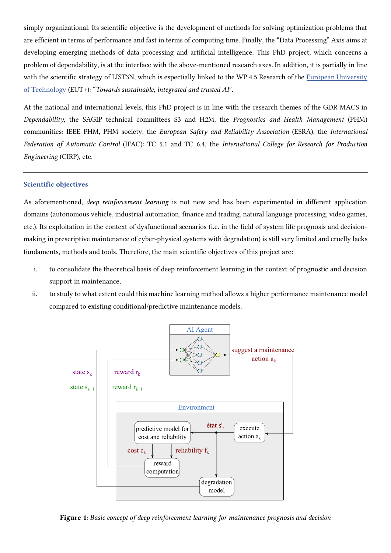simply organizational. Its scientific objective is the development of methods for solving optimization problems that are efficient in terms of performance and fast in terms of computing time. Finally, the "Data Processing" Axis aims at developing emerging methods of data processing and artificial intelligence. This PhD project, which concerns a problem of dependability, is at the interface with the above-mentioned research axes. In addition, it is partially in line with the scientific strategy of LIST3N, which is espectially linked to the WP 4.5 Research of the European University [of Technology](https://www.univ-tech.eu/) (EUT+): "*Towards sustainable, integrated and trusted AI*".

At the national and international levels, this PhD project is in line with the research themes of the GDR MACS in *Dependability*, the SAGIP technical committees S3 and H2M, the *Prognostics and Health Management* (PHM) communities: IEEE PHM, PHM society, the *European Safety and Reliability Association* (ESRA), the *International Federation of Automatic Control* (IFAC): TC 5.1 and TC 6.4, the *International College for Research for Production Engineering* (CIRP), etc.

## Scientific objectives

As aforementioned, *deep reinforcement learning* is not new and has been experimented in different application domains (autonomous vehicle, industrial automation, finance and trading, natural language processing, video games, etc.). Its exploitation in the context of dysfunctional scenarios (i.e. in the field of system life prognosis and decisionmaking in prescriptive maintenance of cyber-physical systems with degradation) is still very limited and cruelly lacks fundaments, methods and tools. Therefore, the main scientific objectives of this project are:

- i. to consolidate the theoretical basis of deep reinforcement learning in the context of prognostic and decision support in maintenance,
- ii. to study to what extent could this machine learning method allows a higher performance maintenance model compared to existing conditional/predictive maintenance models.



Figure 1: *Basic concept of deep reinforcement learning for maintenance prognosis and decision*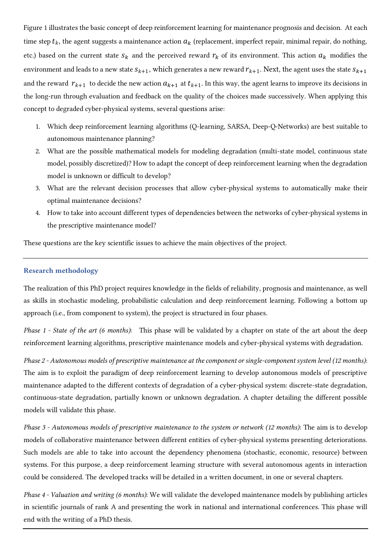Figure 1 illustrates the basic concept of deep reinforcement learning for maintenance prognosis and decision. At each time step  $t_k$ , the agent suggests a maintenance action  $a_k$  (replacement, imperfect repair, minimal repair, do nothing, etc.) based on the current state  $s_k$  and the perceived reward  $r_k$  of its environment. This action  $a_k$  modifies the environment and leads to a new state  $s_{k+1}$ , which generates a new reward  $r_{k+1}$ . Next, the agent uses the state  $s_{k+1}$ and the reward  $r_{k+1}$  to decide the new action  $a_{k+1}$  at  $t_{k+1}$ . In this way, the agent learns to improve its decisions in the long-run through evaluation and feedback on the quality of the choices made successively. When applying this concept to degraded cyber-physical systems, several questions arise:

- 1. Which deep reinforcement learning algorithms (Q-learning, SARSA, Deep-Q-Networks) are best suitable to autonomous maintenance planning?
- 2. What are the possible mathematical models for modeling degradation (multi-state model, continuous state model, possibly discretized)? How to adapt the concept of deep reinforcement learning when the degradation model is unknown or difficult to develop?
- 3. What are the relevant decision processes that allow cyber-physical systems to automatically make their optimal maintenance decisions?
- 4. How to take into account different types of dependencies between the networks of cyber-physical systems in the prescriptive maintenance model?

These questions are the key scientific issues to achieve the main objectives of the project.

## Research methodology

The realization of this PhD project requires knowledge in the fields of reliability, prognosis and maintenance, as well as skills in stochastic modeling, probabilistic calculation and deep reinforcement learning. Following a bottom up approach (i.e., from component to system), the project is structured in four phases.

*Phase 1 - State of the art (6 months)*: This phase will be validated by a chapter on state of the art about the deep reinforcement learning algorithms, prescriptive maintenance models and cyber-physical systems with degradation.

*Phase 2 - Autonomous models of prescriptive maintenance at the component or single-component system level (12 months)*: The aim is to exploit the paradigm of deep reinforcement learning to develop autonomous models of prescriptive maintenance adapted to the different contexts of degradation of a cyber-physical system: discrete-state degradation, continuous-state degradation, partially known or unknown degradation. A chapter detailing the different possible models will validate this phase.

*Phase 3 - Autonomous models of prescriptive maintenance to the system or network (12 months)*: The aim is to develop models of collaborative maintenance between different entities of cyber-physical systems presenting deteriorations. Such models are able to take into account the dependency phenomena (stochastic, economic, resource) between systems. For this purpose, a deep reinforcement learning structure with several autonomous agents in interaction could be considered. The developed tracks will be detailed in a written document, in one or several chapters.

*Phase 4 - Valuation and writing (6 months)*: We will validate the developed maintenance models by publishing articles in scientific journals of rank A and presenting the work in national and international conferences. This phase will end with the writing of a PhD thesis.